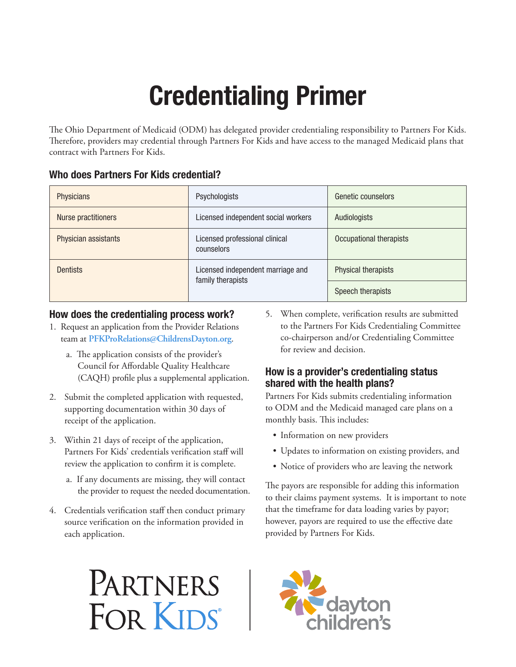# Credentialing Primer

The Ohio Department of Medicaid (ODM) has delegated provider credentialing responsibility to Partners For Kids. Therefore, providers may credential through Partners For Kids and have access to the managed Medicaid plans that contract with Partners For Kids.

#### Who does Partners For Kids credential?

| <b>Physicians</b>          | Psychologists                                          | Genetic counselors      |
|----------------------------|--------------------------------------------------------|-------------------------|
| <b>Nurse practitioners</b> | Licensed independent social workers                    | Audiologists            |
| Physician assistants       | Licensed professional clinical<br>counselors           | Occupational therapists |
| <b>Dentists</b>            | Licensed independent marriage and<br>family therapists | Physical therapists     |
|                            |                                                        | Speech therapists       |

## How does the credentialing process work?

- 1. Request an application from the Provider Relations team at **PFKProRelations@ChildrensDayton.org**.
	- a. The application consists of the provider's Council for Affordable Quality Healthcare (CAQH) profile plus a supplemental application.
- 2. Submit the completed application with requested, supporting documentation within 30 days of receipt of the application.
- 3. Within 21 days of receipt of the application, Partners For Kids' credentials verification staff will review the application to confirm it is complete.
	- a. If any documents are missing, they will contact the provider to request the needed documentation.
- 4. Credentials verification staff then conduct primary source verification on the information provided in each application.

5. When complete, verification results are submitted to the Partners For Kids Credentialing Committee co-chairperson and/or Credentialing Committee for review and decision.

## How is a provider's credentialing status shared with the health plans?

Partners For Kids submits credentialing information to ODM and the Medicaid managed care plans on a monthly basis. This includes:

- Information on new providers
- Updates to information on existing providers, and
- Notice of providers who are leaving the network

The payors are responsible for adding this information to their claims payment systems. It is important to note that the timeframe for data loading varies by payor; however, payors are required to use the effective date provided by Partners For Kids.

# PARTNERS FOR KIDS